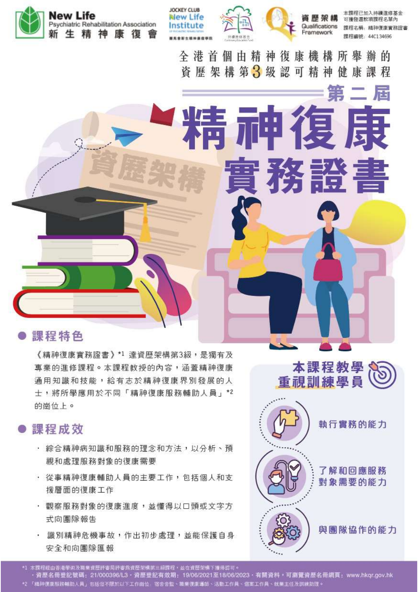





TH.

全港首個由精神復康機構所舉辦的

資歷架構第3級認可精神健康課程

Framework

第

本課程已加入持續進修基金 可獲發還款項課程名單內 Qualifications 野程名稱,精神復康實務設書 課程編號: 44C134696

# 課程特色

《精神復康實務證書》\*1 達資歷架構第3級,是獨有及 專業的進修課程。本課程数授的內容,涵蓋精神復康 通用知識和技能,給有志於精神復康界別發展的人 士,將所學應用於不同「精神復康服務輔助人員」\*2 的崗位上。

## 課程成效

- 綜合精神病知識和服務的理念和方法,以分析、預 視和處理服務對象的復康需要
- · 從事精神復康輔助人員的主要工作,包括個人和支 援層面的復康工作
- · 觀察服務對象的復康進度,並懂得以口頭或文字方 式向團隊報告
- · 識別精神危機事故,作出初步處理,並能保護自身 安全和向團隊匯報



本課程經由香港學術及職業資歷評審局評審為資歷架構第三級課程・並在資歷架構下獲得認可。

資歷名冊登記號碼: 21/000396/L3·資歷登記有效期: 19/06/2021至18/06/2023·有關資料,可測覽資歷名冊網頁: www.hkqr.gov.hk \*2 「精神復康服務輔助人員」包括但不限於以下工作商位:宿舍舎監、職業復康導師、活動工作員、個案工作員、就業主任及訓練助理: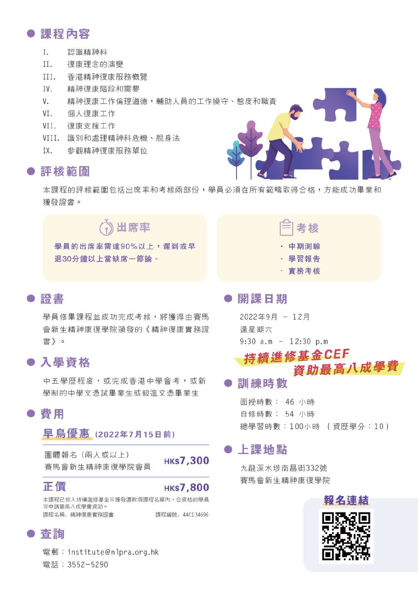# 課程內容

- $\mathbf{I}$ 認識精神科
- $II.$ 復康理念的演變
- $III.$ 香港精神復康服務概覽
- IV. 精神復康階段和需要
- $V_{-}$ 精神復康工作倫理道德,輔助人員的工作操守、熊度和職責
- $VI.$ 個人復康工作
- VII. 復康支援工作
- VIII. 識別和處理精神科危機、脫身法
- IX. 參觀精神復康服務單位

#### ● 評核範圍

本課程的評核範圍包括出席率和考核兩部份,學員必須在所有範疇取得合格,方能成功畢業和 獲發證書。

出席率 學員的出席率需達90%以上,遲到或早 **退30分鐘以上當缺席一節論。** 

●證書

學員修畢課程並成功完成考核,將獲得由賽馬 會新生精神康復學院頒發的《精神復康實務證 書〉。

## ● 入學資格

中五學歷程度,或完成香港中學會考,或新 學制的中學文憑試畢業生或毅谁文憑畢業生

● 書用

### 早鳥優惠 (2022年7月15日前)

團體報名 (兩人或以上) 審馬會新生精神康復學院會員

**HKS7,300** 

#### **HKS7,800**

本課程已加入持續進修基金可獲發還款項課程名單內,含資格的學員 可申請最高八成學費資助。 課程名稱: 精神復康實務證書 課程編號: 44C134696

## ● 杳詢

正價

電郵: institute@nlpra.org.hk 電話: 3552-5290

| $\blacksquare$ | 中期測驗                                  |  |
|----------------|---------------------------------------|--|
|                | and the country of the country of the |  |

- 學習報告
- · 實務考核

#### ● 開課日期

2022年9月 - 12月 逢星期六  $9:30$  a.m - 12:30 p.m

# 持續進修基金CEF 資助最高八成學費

#### 訓練時數

面授時數: 46 小時 自修時數: 54 小時 總學習時數: 100小時 (資歷學分: 10)

#### 上課地點

九龍深水埗南昌街332號 審馬會新生精神康復學院

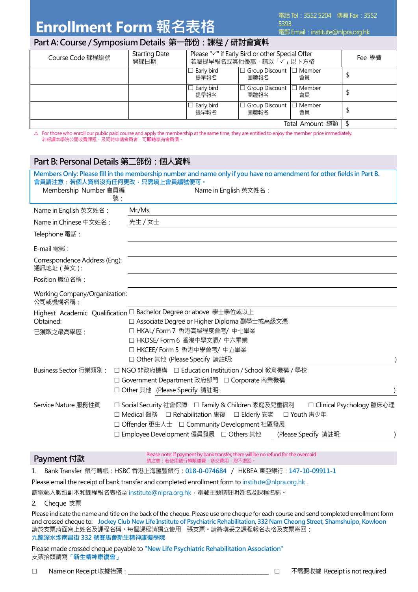# **Enrollment Form 報名表格**

電郵 Email: institute@nlpra.org.hk

#### **Part A: Course / Symposium Details 第一部份:課程/研討會資料**

| Course Code 課程編號 | <b>Starting Date</b><br>開課日期 | Please "√" if Early Bird or other Special Offer<br>若屬提早報名或其他優惠,請以「✓」以下方格 |                                             | Fee 學費 |  |
|------------------|------------------------------|--------------------------------------------------------------------------|---------------------------------------------|--------|--|
|                  |                              | l Early bird<br>提早報名                                                     | $\Box$ Group Discount $\Box$ Member<br>團體報名 | 會員     |  |
|                  |                              | Early bird<br>提早報名                                                       | $\Box$ Group Discount $\Box$ Member<br>團體報名 | 會員     |  |
|                  |                              | Early bird<br>提早報名                                                       | □ Group Discount □ Member<br>團體報名           | 會員     |  |
| Total Amount 總額  |                              |                                                                          |                                             |        |  |

 $\triangle$  For those who enroll our public paid course and apply the membership at the same time, they are entitled to enjoy the member price immediately. 若報讀本學院公開收費課程,及同時申請會員者,可**即時**享有會員價。

#### **Part B: Personal Details 第二部份:個人資料**

| 會員請注意:若個人資料沒有任何更改,只需塡上會員編號便可。<br>Membership Number 會員編<br>號: | Members Only: Please fill in the membership number and name only if you have no amendment for other fields in Part B.<br>Name in English 英文姓名:                                                                                                                      |  |
|--------------------------------------------------------------|---------------------------------------------------------------------------------------------------------------------------------------------------------------------------------------------------------------------------------------------------------------------|--|
| Name in English 英文姓名:                                        | Mr./Ms.                                                                                                                                                                                                                                                             |  |
| Name in Chinese 中文姓名:                                        | 先生 / 女士                                                                                                                                                                                                                                                             |  |
| Telephone 電話:                                                |                                                                                                                                                                                                                                                                     |  |
| $E$ -mail 雷郵:                                                |                                                                                                                                                                                                                                                                     |  |
| Correspondence Address (Eng):<br>通訊地址 (英文):                  |                                                                                                                                                                                                                                                                     |  |
| Position 職位名稱:                                               |                                                                                                                                                                                                                                                                     |  |
| Working Company/Organization:<br>公司或機構名稱:                    |                                                                                                                                                                                                                                                                     |  |
|                                                              | Highest Academic Qualification □ Bachelor Degree or above 學士學位或以上                                                                                                                                                                                                   |  |
| Obtained:                                                    | □ Associate Degree or Higher Diploma 副學士或高級文憑                                                                                                                                                                                                                       |  |
| 已獲取之最高學歷:                                                    | □ HKAL/Form 7 香港高級程度會考/ 中七畢業                                                                                                                                                                                                                                        |  |
|                                                              | □ HKDSE/ Form 6 香港中學文憑/ 中六畢業                                                                                                                                                                                                                                        |  |
|                                                              | □ HKCEE/Form 5 香港中學會考/ 中五畢業                                                                                                                                                                                                                                         |  |
|                                                              | □ Other 其他 (Please Specify 請註明:                                                                                                                                                                                                                                     |  |
| Business Sector 行業類別:                                        | □ NGO 非政府機構 □ Education Institution / School 教育機構 / 學校                                                                                                                                                                                                              |  |
|                                                              | □ Government Department 政府部門 □ Corporate 商業機構                                                                                                                                                                                                                       |  |
|                                                              | □ Other 其他 (Please Specify 請註明:                                                                                                                                                                                                                                     |  |
| Service Nature 服務性質                                          | □ Social Security 社會保障 □ Family & Children 家庭及兒童福利<br>□ Clinical Psychology 臨床心理<br>□ Medical 醫務 □ Rehabilitation 康復 □ Elderly 安老<br>□ Youth 靑少年<br>□ Offender 更生人士 □ Community Development 社區發展<br>□ Employee Development 僱員發展 □ Others 其他<br>(Please Specify 請註明: |  |

| Payment 付款 | Please note: If payment by bank transfer, there will be no refund for the overpaid<br>請注意:若使用銀行轉賬繳費‧多交費用﹐恕不退回。 |
|------------|----------------------------------------------------------------------------------------------------------------|
|            |                                                                                                                |

1. Bank Transfer 銀行轉帳:HSBC 香港上海匯豐銀行:**018-0-074684** / HKBEA 東亞銀行:**147-10-09911-1**

Please email the receipt of bank transfer and completed enrollment form to institute@nlpra.org.hk.

請電郵入數紙副本和課程報名表格至 institute@nlpra.org.hk,電郵主題請註明姓名及課程名稱。

2. Cheque 支票

Please indicate the name and title on the back of the cheque. Please use one cheque for each course and send completed enrollment form and crossed cheque to: **Jockey Club New Life Institute of Psychiatric Rehabilitation, 332 Nam Cheong Street, Shamshuipo, Kowloon** 請於支票背面寫上姓名及課程名稱。每個課程請獨立使用一張支票。請將塡妥之課程報名表格及支票寄回: **九龍深水埗南昌街 332 號賽馬會新生精神康復學院**

Please made crossed cheque payable to **"New Life Psychiatric Rehabilitation Association"** 支票抬頭請寫**「新生精神康復會」**